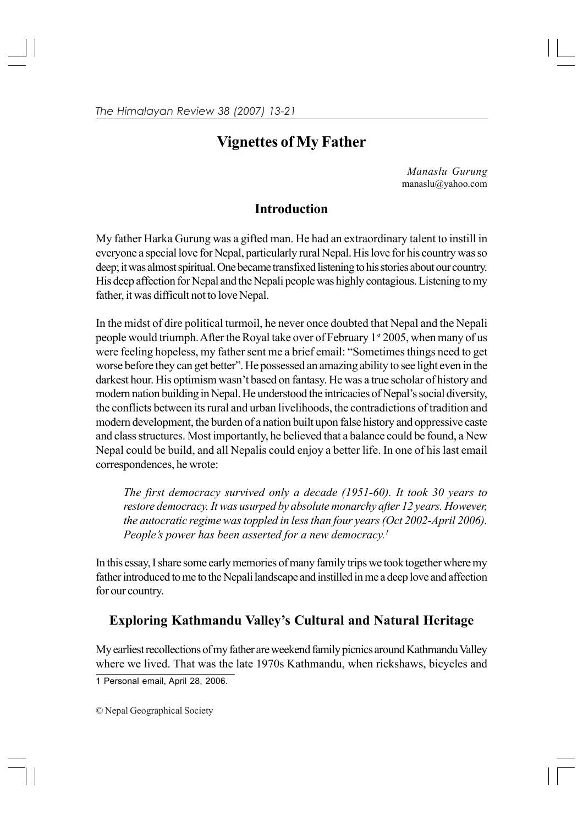# **Vignettes of My Father**

*Manaslu Gurung* manaslu@yahoo.com

### **Introduction**

My father Harka Gurung was a gifted man. He had an extraordinary talent to instill in everyone a special love for Nepal, particularly rural Nepal. His love for his country was so deep; it was almost spiritual. One became transfixed listening to his stories about our country. His deep affection for Nepal and the Nepali people was highly contagious. Listening to my father, it was difficult not to love Nepal.

In the midst of dire political turmoil, he never once doubted that Nepal and the Nepali people would triumph. After the Royal take over of February 1st 2005, when many of us were feeling hopeless, my father sent me a brief email: "Sometimes things need to get worse before they can get better". He possessed an amazing ability to see light even in the darkest hour. His optimism wasn't based on fantasy. He was a true scholar of history and modern nation building in Nepal. He understood the intricacies of Nepal's social diversity, the conflicts between its rural and urban livelihoods, the contradictions of tradition and modern development, the burden of a nation built upon false history and oppressive caste and class structures. Most importantly, he believed that a balance could be found, a New Nepal could be build, and all Nepalis could enjoy a better life. In one of his last email correspondences, he wrote:

*The first democracy survived only a decade (1951-60). It took 30 years to restore democracy. It was usurped by absolute monarchy after 12 years. However, the autocratic regime was toppled in less than four years (Oct 2002-April 2006). People's power has been asserted for a new democracy.1*

In this essay, I share some early memories of many family trips we took together where my father introduced to me to the Nepali landscape and instilled in me a deep love and affection for our country.

### **Exploring Kathmandu Valley's Cultural and Natural Heritage**

My earliest recollections of my father are weekend family picnics around Kathmandu Valley where we lived. That was the late 1970s Kathmandu, when rickshaws, bicycles and

1 Personal email, April 28, 2006.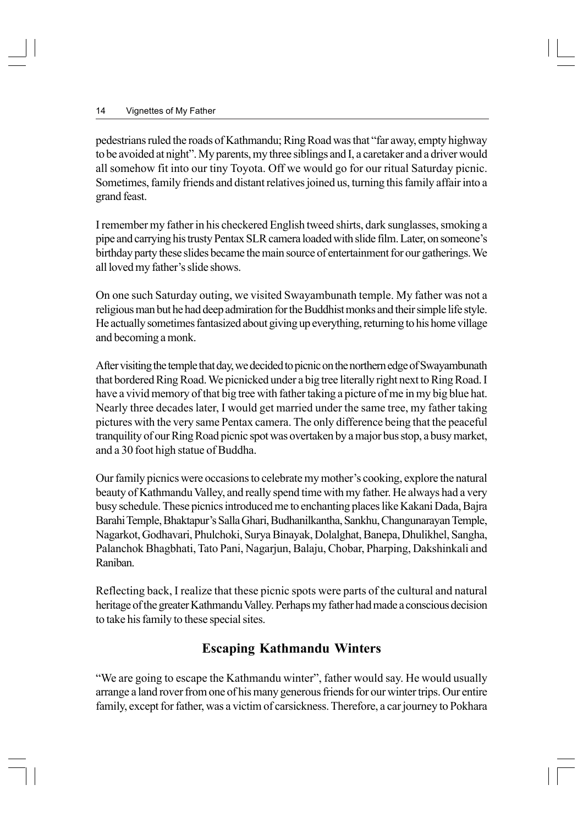pedestrians ruled the roads of Kathmandu; Ring Road was that "far away, empty highway to be avoided at night". My parents, my three siblings and I, a caretaker and a driver would all somehow fit into our tiny Toyota. Off we would go for our ritual Saturday picnic. Sometimes, family friends and distant relatives joined us, turning this family affair into a grand feast.

I remember my father in his checkered English tweed shirts, dark sunglasses, smoking a pipe and carrying his trusty Pentax SLR camera loaded with slide film. Later, on someone's birthday party these slides became the main source of entertainment for our gatherings. We all loved my father's slide shows.

On one such Saturday outing, we visited Swayambunath temple. My father was not a religious man but he had deep admiration for the Buddhist monks and their simple life style. He actually sometimes fantasized about giving up everything, returning to his home village and becoming a monk.

After visiting the temple that day, we decided to picnic on the northern edge of Swayambunath that bordered Ring Road. We picnicked under a big tree literally right next to Ring Road. I have a vivid memory of that big tree with father taking a picture of me in my big blue hat. Nearly three decades later, I would get married under the same tree, my father taking pictures with the very same Pentax camera. The only difference being that the peaceful tranquility of our Ring Road picnic spot was overtaken by a major bus stop, a busy market, and a 30 foot high statue of Buddha.

Our family picnics were occasions to celebrate my mother's cooking, explore the natural beauty of Kathmandu Valley, and really spend time with my father. He always had a very busy schedule. These picnics introduced me to enchanting places like Kakani Dada, Bajra Barahi Temple, Bhaktapur's Salla Ghari, Budhanilkantha, Sankhu, Changunarayan Temple, Nagarkot, Godhavari, Phulchoki, Surya Binayak, Dolalghat, Banepa, Dhulikhel, Sangha, Palanchok Bhagbhati, Tato Pani, Nagarjun, Balaju, Chobar, Pharping, Dakshinkali and Raniban.

Reflecting back, I realize that these picnic spots were parts of the cultural and natural heritage of the greater Kathmandu Valley. Perhaps my father had made a conscious decision to take his family to these special sites.

### **Escaping Kathmandu Winters**

"We are going to escape the Kathmandu winter", father would say. He would usually arrange a land rover from one of his many generous friends for our winter trips. Our entire family, except for father, was a victim of carsickness. Therefore, a car journey to Pokhara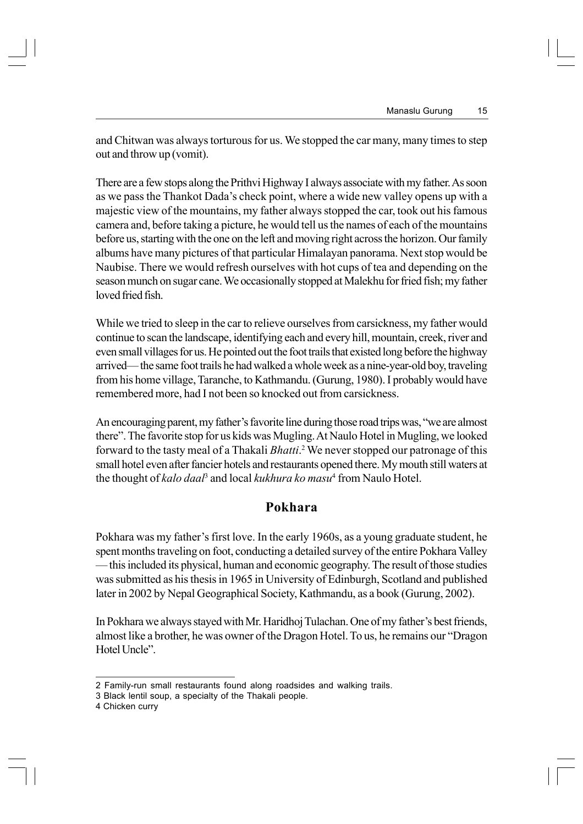and Chitwan was always torturous for us. We stopped the car many, many times to step out and throw up (vomit).

There are a few stops along the Prithvi Highway I always associate with my father. As soon as we pass the Thankot Dada's check point, where a wide new valley opens up with a majestic view of the mountains, my father always stopped the car, took out his famous camera and, before taking a picture, he would tell us the names of each of the mountains before us, starting with the one on the left and moving right across the horizon. Our family albums have many pictures of that particular Himalayan panorama. Next stop would be Naubise. There we would refresh ourselves with hot cups of tea and depending on the season munch on sugar cane. We occasionally stopped at Malekhu for fried fish; my father loved fried fish.

While we tried to sleep in the car to relieve ourselves from carsickness, my father would continue to scan the landscape, identifying each and every hill, mountain, creek, river and even small villages for us. He pointed out the foot trails that existed long before the highway arrived— the same foot trails he had walked a whole week as a nine-year-old boy, traveling from his home village, Taranche, to Kathmandu. (Gurung, 1980). I probably would have remembered more, had I not been so knocked out from carsickness.

An encouraging parent, my father's favorite line during those road trips was, "we are almost there". The favorite stop for us kids was Mugling. At Naulo Hotel in Mugling, we looked forward to the tasty meal of a Thakali *Bhatti*.<sup>2</sup> We never stopped our patronage of this small hotel even after fancier hotels and restaurants opened there. My mouth still waters at the thought of *kalo daal*<sup>3</sup> and local *kukhura ko masu*<sup>4</sup> from Naulo Hotel.

### **Pokhara**

Pokhara was my father's first love. In the early 1960s, as a young graduate student, he spent months traveling on foot, conducting a detailed survey of the entire Pokhara Valley — this included its physical, human and economic geography. The result of those studies was submitted as his thesis in 1965 in University of Edinburgh, Scotland and published later in 2002 by Nepal Geographical Society, Kathmandu, as a book (Gurung, 2002).

In Pokhara we always stayed with Mr. Haridhoj Tulachan. One of my father's best friends, almost like a brother, he was owner of the Dragon Hotel. To us, he remains our "Dragon Hotel Uncle"

<sup>2</sup> Family-run small restaurants found along roadsides and walking trails.

<sup>3</sup> Black lentil soup, a specialty of the Thakali people.

<sup>4</sup> Chicken curry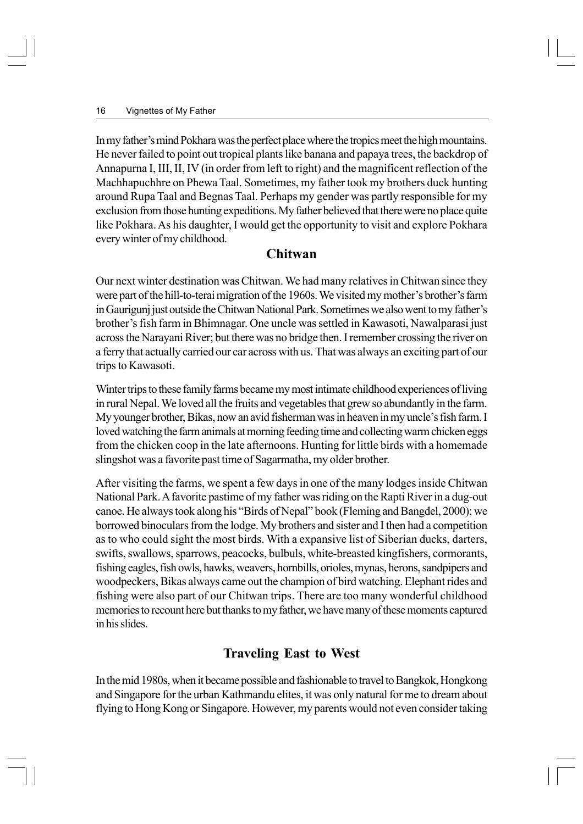In my father's mind Pokhara was the perfect place where the tropics meet the high mountains. He never failed to point out tropical plants like banana and papaya trees, the backdrop of Annapurna I, III, II, IV (in order from left to right) and the magnificent reflection of the Machhapuchhre on Phewa Taal. Sometimes, my father took my brothers duck hunting around Rupa Taal and Begnas Taal. Perhaps my gender was partly responsible for my exclusion from those hunting expeditions. My father believed that there were no place quite like Pokhara. As his daughter, I would get the opportunity to visit and explore Pokhara every winter of my childhood.

#### **Chitwan**

Our next winter destination was Chitwan. We had many relatives in Chitwan since they were part of the hill-to-terai migration of the 1960s. We visited my mother's brother's farm in Gaurigunj just outside the Chitwan National Park. Sometimes we also went to my father's brother's fish farm in Bhimnagar. One uncle was settled in Kawasoti, Nawalparasi just across the Narayani River; but there was no bridge then. I remember crossing the river on a ferry that actually carried our car across with us. That was always an exciting part of our trips to Kawasoti.

Winter trips to these family farms became my most intimate childhood experiences of living in rural Nepal. We loved all the fruits and vegetables that grew so abundantly in the farm. My younger brother, Bikas, now an avid fisherman was in heaven in my uncle's fish farm. I loved watching the farm animals at morning feeding time and collecting warm chicken eggs from the chicken coop in the late afternoons. Hunting for little birds with a homemade slingshot was a favorite past time of Sagarmatha, my older brother.

After visiting the farms, we spent a few days in one of the many lodges inside Chitwan National Park. A favorite pastime of my father was riding on the Rapti River in a dug-out canoe. He always took along his "Birds of Nepal" book (Fleming and Bangdel, 2000); we borrowed binoculars from the lodge. My brothers and sister and I then had a competition as to who could sight the most birds. With a expansive list of Siberian ducks, darters, swifts, swallows, sparrows, peacocks, bulbuls, white-breasted kingfishers, cormorants, fishing eagles, fish owls, hawks, weavers, hornbills, orioles, mynas, herons, sandpipers and woodpeckers, Bikas always came out the champion of bird watching. Elephant rides and fishing were also part of our Chitwan trips. There are too many wonderful childhood memories to recount here but thanks to my father, we have many of these moments captured in his slides.

## **Traveling East to West**

In the mid 1980s, when it became possible and fashionable to travel to Bangkok, Hongkong and Singapore for the urban Kathmandu elites, it was only natural for me to dream about flying to Hong Kong or Singapore. However, my parents would not even consider taking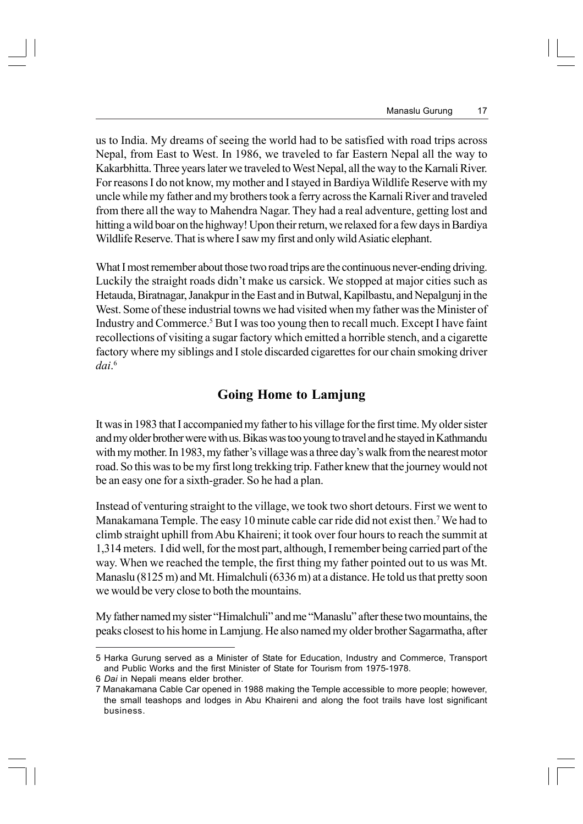us to India. My dreams of seeing the world had to be satisfied with road trips across Nepal, from East to West. In 1986, we traveled to far Eastern Nepal all the way to Kakarbhitta. Three years later we traveled to West Nepal, all the way to the Karnali River. For reasons I do not know, my mother and I stayed in Bardiya Wildlife Reserve with my uncle while my father and my brothers took a ferry across the Karnali River and traveled from there all the way to Mahendra Nagar. They had a real adventure, getting lost and hitting a wild boar on the highway! Upon their return, we relaxed for a few days in Bardiya Wildlife Reserve. That is where I saw my first and only wild Asiatic elephant.

What I most remember about those two road trips are the continuous never-ending driving. Luckily the straight roads didn't make us carsick. We stopped at major cities such as Hetauda, Biratnagar, Janakpur in the East and in Butwal, Kapilbastu, and Nepalgunj in the West. Some of these industrial towns we had visited when my father was the Minister of Industry and Commerce.<sup>5</sup> But I was too young then to recall much. Except I have faint recollections of visiting a sugar factory which emitted a horrible stench, and a cigarette factory where my siblings and I stole discarded cigarettes for our chain smoking driver *dai*. 6

### **Going Home to Lamjung**

It was in 1983 that I accompanied my father to his village for the first time. My older sister and my older brother were with us. Bikas was too young to travel and he stayed in Kathmandu with my mother. In 1983, my father's village was a three day's walk from the nearest motor road. So this was to be my first long trekking trip. Father knew that the journey would not be an easy one for a sixth-grader. So he had a plan.

Instead of venturing straight to the village, we took two short detours. First we went to Manakamana Temple. The easy 10 minute cable car ride did not exist then.<sup>7</sup> We had to climb straight uphill from Abu Khaireni; it took over four hours to reach the summit at 1,314 meters. I did well, for the most part, although, I remember being carried part of the way. When we reached the temple, the first thing my father pointed out to us was Mt. Manaslu (8125 m) and Mt. Himalchuli (6336 m) at a distance. He told us that pretty soon we would be very close to both the mountains.

My father named my sister "Himalchuli" and me "Manaslu" after these two mountains, the peaks closest to his home in Lamjung. He also named my older brother Sagarmatha, after

<sup>5</sup> Harka Gurung served as a Minister of State for Education, Industry and Commerce, Transport and Public Works and the first Minister of State for Tourism from 1975-1978.

<sup>6</sup> *Dai* in Nepali means elder brother.

<sup>7</sup> Manakamana Cable Car opened in 1988 making the Temple accessible to more people; however, the small teashops and lodges in Abu Khaireni and along the foot trails have lost significant business.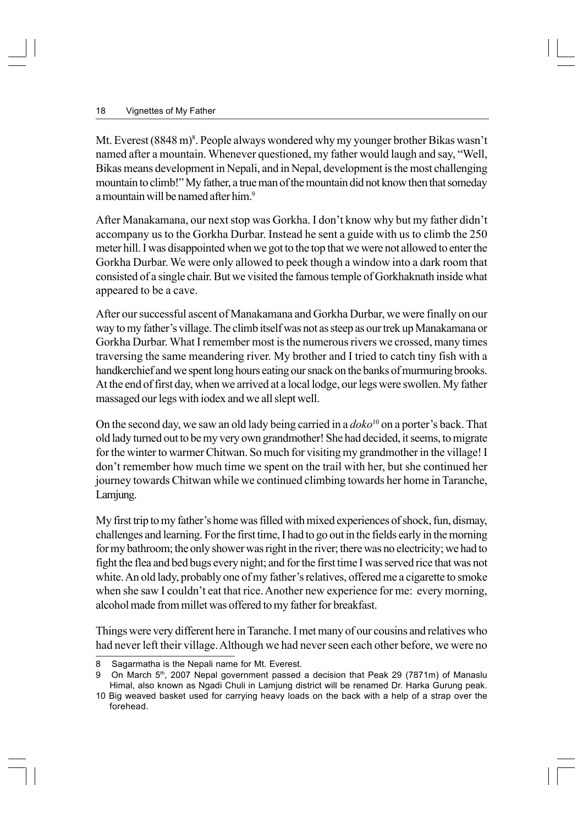Mt. Everest (8848 m)<sup>8</sup>. People always wondered why my younger brother Bikas wasn't named after a mountain. Whenever questioned, my father would laugh and say, "Well, Bikas means development in Nepali, and in Nepal, development is the most challenging mountain to climb!" My father, a true man of the mountain did not know then that someday a mountain will be named after him.<sup>9</sup>

After Manakamana, our next stop was Gorkha. I don't know why but my father didn't accompany us to the Gorkha Durbar. Instead he sent a guide with us to climb the 250 meter hill. I was disappointed when we got to the top that we were not allowed to enter the Gorkha Durbar. We were only allowed to peek though a window into a dark room that consisted of a single chair. But we visited the famous temple of Gorkhaknath inside what appeared to be a cave.

After our successful ascent of Manakamana and Gorkha Durbar, we were finally on our way to my father's village. The climb itself was not as steep as our trek up Manakamana or Gorkha Durbar. What I remember most is the numerous rivers we crossed, many times traversing the same meandering river. My brother and I tried to catch tiny fish with a handkerchief and we spent long hours eating our snack on the banks of murmuring brooks. At the end of first day, when we arrived at a local lodge, our legs were swollen. My father massaged our legs with iodex and we all slept well.

On the second day, we saw an old lady being carried in a *doko*10 on a porter's back. That old lady turned out to be my very own grandmother! She had decided, it seems, to migrate for the winter to warmer Chitwan. So much for visiting my grandmother in the village! I don't remember how much time we spent on the trail with her, but she continued her journey towards Chitwan while we continued climbing towards her home in Taranche, Lamjung.

My first trip to my father's home was filled with mixed experiences of shock, fun, dismay, challenges and learning. For the first time, I had to go out in the fields early in the morning for my bathroom; the only shower was right in the river; there was no electricity; we had to fight the flea and bed bugs every night; and for the first time I was served rice that was not white. An old lady, probably one of my father's relatives, offered me a cigarette to smoke when she saw I couldn't eat that rice. Another new experience for me: every morning, alcohol made from millet was offered to my father for breakfast.

Things were very different here in Taranche. I met many of our cousins and relatives who had never left their village. Although we had never seen each other before, we were no

<sup>8</sup> Sagarmatha is the Nepali name for Mt. Everest.

<sup>9</sup> On March 5<sup>th</sup>, 2007 Nepal government passed a decision that Peak 29 (7871m) of Manaslu Himal, also known as Ngadi Chuli in Lamjung district will be renamed Dr. Harka Gurung peak.

<sup>10</sup> Big weaved basket used for carrying heavy loads on the back with a help of a strap over the forehead.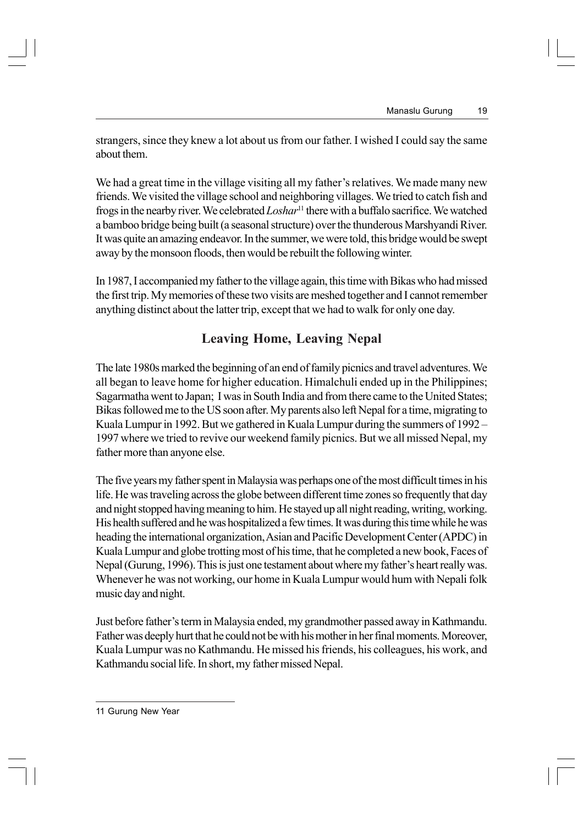strangers, since they knew a lot about us from our father. I wished I could say the same about them.

We had a great time in the village visiting all my father's relatives. We made many new friends. We visited the village school and neighboring villages. We tried to catch fish and frogs in the nearby river. We celebrated *Loshar*11 there with a buffalo sacrifice. We watched a bamboo bridge being built (a seasonal structure) over the thunderous Marshyandi River. It was quite an amazing endeavor. In the summer, we were told, this bridge would be swept away by the monsoon floods, then would be rebuilt the following winter.

In 1987, I accompanied my father to the village again, this time with Bikas who had missed the first trip. My memories of these two visits are meshed together and I cannot remember anything distinct about the latter trip, except that we had to walk for only one day.

### **Leaving Home, Leaving Nepal**

The late 1980s marked the beginning of an end of family picnics and travel adventures. We all began to leave home for higher education. Himalchuli ended up in the Philippines; Sagarmatha went to Japan; I was in South India and from there came to the United States; Bikas followed me to the US soon after. My parents also left Nepal for a time, migrating to Kuala Lumpur in 1992. But we gathered in Kuala Lumpur during the summers of 1992 – 1997 where we tried to revive our weekend family picnics. But we all missed Nepal, my father more than anyone else.

The five years my father spent in Malaysia was perhaps one of the most difficult times in his life. He was traveling across the globe between different time zones so frequently that day and night stopped having meaning to him. He stayed up all night reading, writing, working. His health suffered and he was hospitalized a few times. It was during this time while he was heading the international organization, Asian and Pacific Development Center (APDC) in Kuala Lumpur and globe trotting most of his time, that he completed a new book, Faces of Nepal (Gurung, 1996). This is just one testament about where my father's heart really was. Whenever he was not working, our home in Kuala Lumpur would hum with Nepali folk music day and night.

Just before father's term in Malaysia ended, my grandmother passed away in Kathmandu. Father was deeply hurt that he could not be with his mother in her final moments. Moreover, Kuala Lumpur was no Kathmandu. He missed his friends, his colleagues, his work, and Kathmandu social life. In short, my father missed Nepal.

<sup>11</sup> Gurung New Year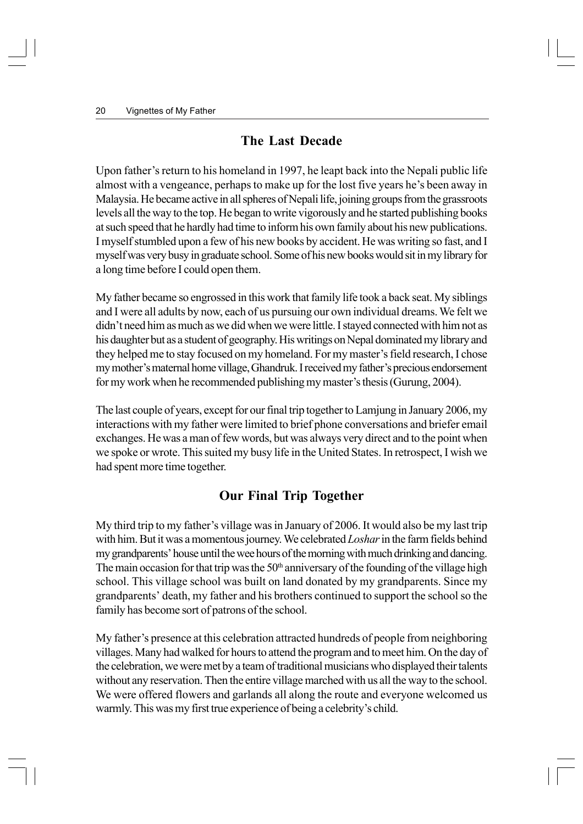### **The Last Decade**

Upon father's return to his homeland in 1997, he leapt back into the Nepali public life almost with a vengeance, perhaps to make up for the lost five years he's been away in Malaysia. He became active in all spheres of Nepali life, joining groups from the grassroots levels all the way to the top. He began to write vigorously and he started publishing books at such speed that he hardly had time to inform his own family about his new publications. I myself stumbled upon a few of his new books by accident. He was writing so fast, and I myself was very busy in graduate school. Some of his new books would sit in my library for a long time before I could open them.

My father became so engrossed in this work that family life took a back seat. My siblings and I were all adults by now, each of us pursuing our own individual dreams. We felt we didn't need him as much as we did when we were little. I stayed connected with him not as his daughter but as a student of geography. His writings on Nepal dominated my library and they helped me to stay focused on my homeland. For my master's field research, I chose my mother's maternal home village, Ghandruk. I received my father's precious endorsement for my work when he recommended publishing my master's thesis (Gurung, 2004).

The last couple of years, except for our final trip together to Lamjung in January 2006, my interactions with my father were limited to brief phone conversations and briefer email exchanges. He was a man of few words, but was always very direct and to the point when we spoke or wrote. This suited my busy life in the United States. In retrospect, I wish we had spent more time together.

### **Our Final Trip Together**

My third trip to my father's village was in January of 2006. It would also be my last trip with him. But it was a momentous journey. We celebrated *Loshar* in the farm fields behind my grandparents' house until the wee hours of the morning with much drinking and dancing. The main occasion for that trip was the  $50<sup>th</sup>$  anniversary of the founding of the village high school. This village school was built on land donated by my grandparents. Since my grandparents' death, my father and his brothers continued to support the school so the family has become sort of patrons of the school.

My father's presence at this celebration attracted hundreds of people from neighboring villages. Many had walked for hours to attend the program and to meet him. On the day of the celebration, we were met by a team of traditional musicians who displayed their talents without any reservation. Then the entire village marched with us all the way to the school. We were offered flowers and garlands all along the route and everyone welcomed us warmly. This was my first true experience of being a celebrity's child.